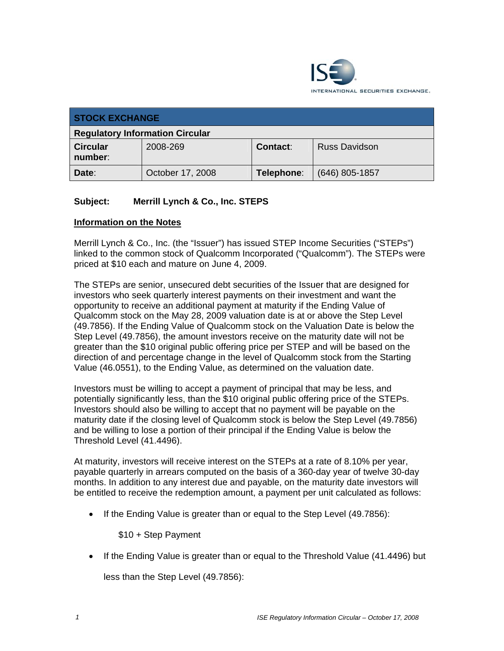

| <b>STOCK EXCHANGE</b>                  |                  |            |                      |  |
|----------------------------------------|------------------|------------|----------------------|--|
| <b>Regulatory Information Circular</b> |                  |            |                      |  |
| <b>Circular</b><br>number:             | 2008-269         | Contact:   | <b>Russ Davidson</b> |  |
| Date:                                  | October 17, 2008 | Telephone: | $(646)$ 805-1857     |  |

## **Subject: Merrill Lynch & Co., Inc. STEPS**

## **Information on the Notes**

Merrill Lynch & Co., Inc. (the "Issuer") has issued STEP Income Securities ("STEPs") linked to the common stock of Qualcomm Incorporated ("Qualcomm"). The STEPs were priced at \$10 each and mature on June 4, 2009.

The STEPs are senior, unsecured debt securities of the Issuer that are designed for investors who seek quarterly interest payments on their investment and want the opportunity to receive an additional payment at maturity if the Ending Value of Qualcomm stock on the May 28, 2009 valuation date is at or above the Step Level (49.7856). If the Ending Value of Qualcomm stock on the Valuation Date is below the Step Level (49.7856), the amount investors receive on the maturity date will not be greater than the \$10 original public offering price per STEP and will be based on the direction of and percentage change in the level of Qualcomm stock from the Starting Value (46.0551), to the Ending Value, as determined on the valuation date.

Investors must be willing to accept a payment of principal that may be less, and potentially significantly less, than the \$10 original public offering price of the STEPs. Investors should also be willing to accept that no payment will be payable on the maturity date if the closing level of Qualcomm stock is below the Step Level (49.7856) and be willing to lose a portion of their principal if the Ending Value is below the Threshold Level (41.4496).

At maturity, investors will receive interest on the STEPs at a rate of 8.10% per year, payable quarterly in arrears computed on the basis of a 360-day year of twelve 30-day months. In addition to any interest due and payable, on the maturity date investors will be entitled to receive the redemption amount, a payment per unit calculated as follows:

• If the Ending Value is greater than or equal to the Step Level (49.7856):

\$10 + Step Payment

• If the Ending Value is greater than or equal to the Threshold Value (41.4496) but

less than the Step Level (49.7856):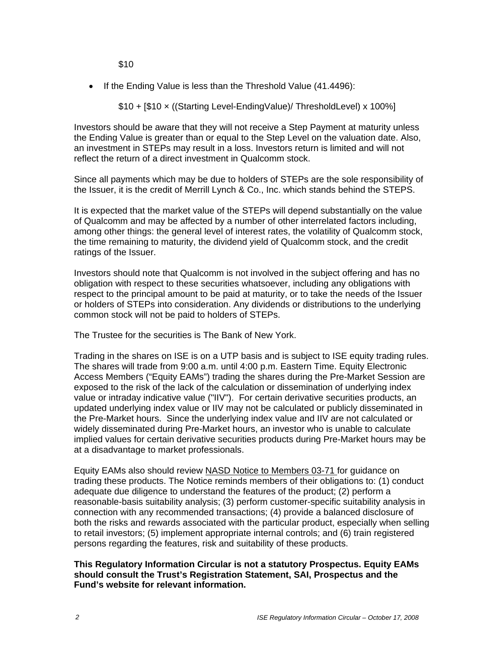\$10

• If the Ending Value is less than the Threshold Value (41.4496):

\$10 + [\$10 × ((Starting Level-EndingValue)/ ThresholdLevel) x 100%]

Investors should be aware that they will not receive a Step Payment at maturity unless the Ending Value is greater than or equal to the Step Level on the valuation date. Also, an investment in STEPs may result in a loss. Investors return is limited and will not reflect the return of a direct investment in Qualcomm stock.

Since all payments which may be due to holders of STEPs are the sole responsibility of the Issuer, it is the credit of Merrill Lynch & Co., Inc. which stands behind the STEPS.

It is expected that the market value of the STEPs will depend substantially on the value of Qualcomm and may be affected by a number of other interrelated factors including, among other things: the general level of interest rates, the volatility of Qualcomm stock, the time remaining to maturity, the dividend yield of Qualcomm stock, and the credit ratings of the Issuer.

Investors should note that Qualcomm is not involved in the subject offering and has no obligation with respect to these securities whatsoever, including any obligations with respect to the principal amount to be paid at maturity, or to take the needs of the Issuer or holders of STEPs into consideration. Any dividends or distributions to the underlying common stock will not be paid to holders of STEPs.

The Trustee for the securities is The Bank of New York.

Trading in the shares on ISE is on a UTP basis and is subject to ISE equity trading rules. The shares will trade from 9:00 a.m. until 4:00 p.m. Eastern Time. Equity Electronic Access Members ("Equity EAMs") trading the shares during the Pre-Market Session are exposed to the risk of the lack of the calculation or dissemination of underlying index value or intraday indicative value ("IIV"). For certain derivative securities products, an updated underlying index value or IIV may not be calculated or publicly disseminated in the Pre-Market hours. Since the underlying index value and IIV are not calculated or widely disseminated during Pre-Market hours, an investor who is unable to calculate implied values for certain derivative securities products during Pre-Market hours may be at a disadvantage to market professionals.

Equity EAMs also should review NASD Notice to Members 03-71 for guidance on trading these products. The Notice reminds members of their obligations to: (1) conduct adequate due diligence to understand the features of the product; (2) perform a reasonable-basis suitability analysis; (3) perform customer-specific suitability analysis in connection with any recommended transactions; (4) provide a balanced disclosure of both the risks and rewards associated with the particular product, especially when selling to retail investors; (5) implement appropriate internal controls; and (6) train registered persons regarding the features, risk and suitability of these products.

**This Regulatory Information Circular is not a statutory Prospectus. Equity EAMs should consult the Trust's Registration Statement, SAI, Prospectus and the Fund's website for relevant information.**